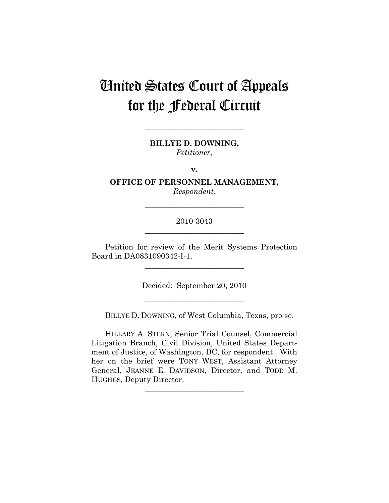# United States Court of Appeals for the Federal Circuit

**BILLYE D. DOWNING,**  *Petitioner,* 

**\_\_\_\_\_\_\_\_\_\_\_\_\_\_\_\_\_\_\_\_\_\_\_\_\_\_** 

**v.** 

**OFFICE OF PERSONNEL MANAGEMENT,**  *Respondent.* 

**\_\_\_\_\_\_\_\_\_\_\_\_\_\_\_\_\_\_\_\_\_\_\_\_\_\_** 

## 2010-3043

Petition for review of the Merit Systems Protection Board in DA0831090342-I-1.

**\_\_\_\_\_\_\_\_\_\_\_\_\_\_\_\_\_\_\_\_\_\_\_\_\_\_** 

Decided: September 20, 2010

**\_\_\_\_\_\_\_\_\_\_\_\_\_\_\_\_\_\_\_\_\_\_\_\_\_\_** 

BILLYE D. DOWNING, of West Columbia, Texas, pro se.

HILLARY A. STERN, Senior Trial Counsel, Commercial Litigation Branch, Civil Division, United States Department of Justice, of Washington, DC, for respondent. With her on the brief were TONY WEST, Assistant Attorney General, JEANNE E. DAVIDSON, Director, and TODD M. HUGHES, Deputy Director.

**\_\_\_\_\_\_\_\_\_\_\_\_\_\_\_\_\_\_\_\_\_\_\_\_\_\_**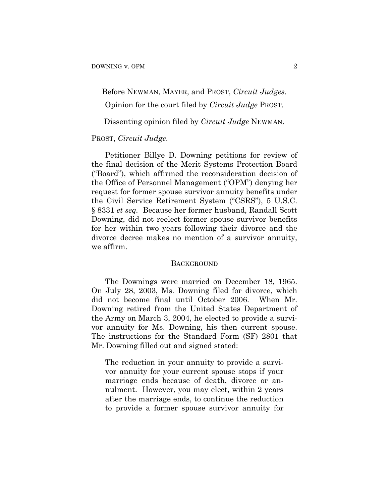Before NEWMAN, MAYER, and PROST, *Circuit Judges*.

Opinion for the court filed by *Circuit Judge* PROST.

Dissenting opinion filed by *Circuit Judge* NEWMAN.

### PROST, *Circuit Judge*.

Petitioner Billye D. Downing petitions for review of the final decision of the Merit Systems Protection Board ("Board"), which affirmed the reconsideration decision of the Office of Personnel Management ("OPM") denying her request for former spouse survivor annuity benefits under the Civil Service Retirement System ("CSRS"), 5 U.S.C. § 8331 *et seq.* Because her former husband, Randall Scott Downing, did not reelect former spouse survivor benefits for her within two years following their divorce and the divorce decree makes no mention of a survivor annuity, we affirm.

#### **BACKGROUND**

The Downings were married on December 18, 1965. On July 28, 2003, Ms. Downing filed for divorce, which did not become final until October 2006. When Mr. Downing retired from the United States Department of the Army on March 3, 2004, he elected to provide a survivor annuity for Ms. Downing, his then current spouse. The instructions for the Standard Form (SF) 2801 that Mr. Downing filled out and signed stated:

The reduction in your annuity to provide a survivor annuity for your current spouse stops if your marriage ends because of death, divorce or annulment. However, you may elect, within 2 years after the marriage ends, to continue the reduction to provide a former spouse survivor annuity for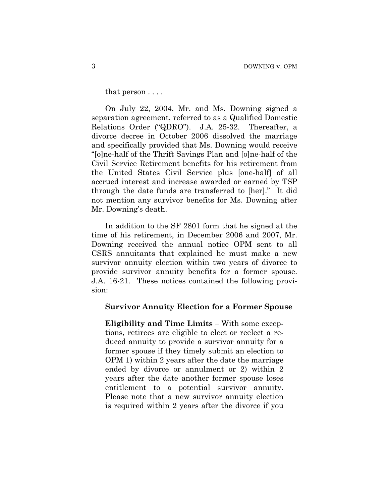that person . . . .

On July 22, 2004, Mr. and Ms. Downing signed a separation agreement, referred to as a Qualified Domestic Relations Order ("QDRO"). J.A. 25-32. Thereafter, a divorce decree in October 2006 dissolved the marriage and specifically provided that Ms. Downing would receive "[o]ne-half of the Thrift Savings Plan and [o]ne-half of the Civil Service Retirement benefits for his retirement from the United States Civil Service plus [one-half] of all accrued interest and increase awarded or earned by TSP through the date funds are transferred to [her]." It did not mention any survivor benefits for Ms. Downing after Mr. Downing's death.

In addition to the SF 2801 form that he signed at the time of his retirement, in December 2006 and 2007, Mr. Downing received the annual notice OPM sent to all CSRS annuitants that explained he must make a new survivor annuity election within two years of divorce to provide survivor annuity benefits for a former spouse. J.A. 16-21. These notices contained the following provision:

### **Survivor Annuity Election for a Former Spouse**

**Eligibility and Time Limits** – With some exceptions, retirees are eligible to elect or reelect a reduced annuity to provide a survivor annuity for a former spouse if they timely submit an election to OPM 1) within 2 years after the date the marriage ended by divorce or annulment or 2) within 2 years after the date another former spouse loses entitlement to a potential survivor annuity. Please note that a new survivor annuity election is required within 2 years after the divorce if you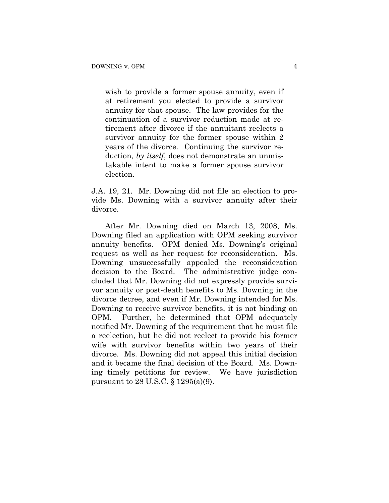wish to provide a former spouse annuity, even if at retirement you elected to provide a survivor annuity for that spouse. The law provides for the continuation of a survivor reduction made at retirement after divorce if the annuitant reelects a survivor annuity for the former spouse within 2 years of the divorce. Continuing the survivor reduction, *by itself*, does not demonstrate an unmistakable intent to make a former spouse survivor election.

J.A. 19, 21. Mr. Downing did not file an election to provide Ms. Downing with a survivor annuity after their divorce.

After Mr. Downing died on March 13, 2008, Ms. Downing filed an application with OPM seeking survivor annuity benefits. OPM denied Ms. Downing's original request as well as her request for reconsideration. Ms. Downing unsuccessfully appealed the reconsideration decision to the Board. The administrative judge concluded that Mr. Downing did not expressly provide survivor annuity or post-death benefits to Ms. Downing in the divorce decree, and even if Mr. Downing intended for Ms. Downing to receive survivor benefits, it is not binding on OPM. Further, he determined that OPM adequately notified Mr. Downing of the requirement that he must file a reelection, but he did not reelect to provide his former wife with survivor benefits within two years of their divorce. Ms. Downing did not appeal this initial decision and it became the final decision of the Board. Ms. Downing timely petitions for review. We have jurisdiction pursuant to 28 U.S.C. § 1295(a)(9).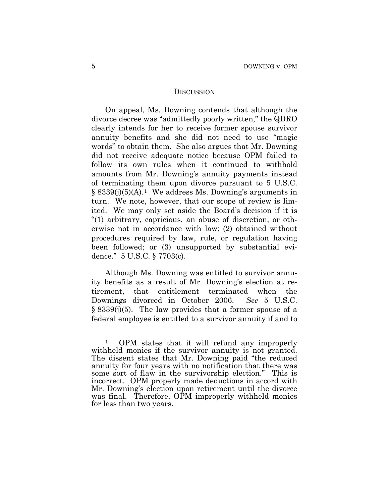### **DISCUSSION**

On appeal, Ms. Downing contends that although the divorce decree was "admittedly poorly written," the QDRO clearly intends for her to receive former spouse survivor annuity benefits and she did not need to use "magic words" to obtain them. She also argues that Mr. Downing did not receive adequate notice because OPM failed to follow its own rules when it continued to withhold amounts from Mr. Downing's annuity payments instead of terminating them upon divorce pursuant to 5 U.S.C.  $§ 8339(j)(5)(A).<sup>1</sup> We address Ms. Downing's arguments in$  $§ 8339(j)(5)(A).<sup>1</sup> We address Ms. Downing's arguments in$  $§ 8339(j)(5)(A).<sup>1</sup> We address Ms. Downing's arguments in$ turn. We note, however, that our scope of review is limited. We may only set aside the Board's decision if it is "(1) arbitrary, capricious, an abuse of discretion, or otherwise not in accordance with law; (2) obtained without procedures required by law, rule, or regulation having been followed; or (3) unsupported by substantial evidence." 5 U.S.C. § 7703(c).

Although Ms. Downing was entitled to survivor annuity benefits as a result of Mr. Downing's election at retirement, that entitlement terminated when the Downings divorced in October 2006. *See* 5 U.S.C. § 8339(j)(5). The law provides that a former spouse of a federal employee is entitled to a survivor annuity if and to

 $\overline{a}$ 

<span id="page-4-0"></span><sup>1</sup> OPM states that it will refund any improperly withheld monies if the survivor annuity is not granted. The dissent states that Mr. Downing paid "the reduced annuity for four years with no notification that there was some sort of flaw in the survivorship election." This is incorrect. OPM properly made deductions in accord with Mr. Downing's election upon retirement until the divorce was final. Therefore, OPM improperly withheld monies for less than two years.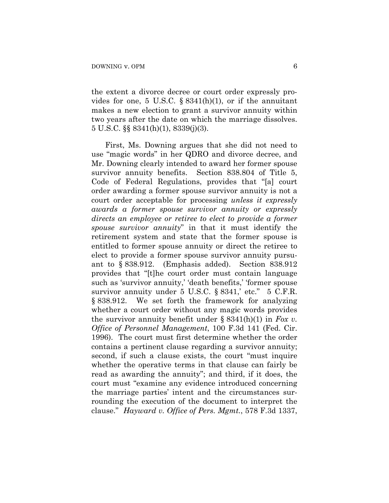the extent a divorce decree or court order expressly provides for one, 5 U.S.C.  $\S$  8341(h)(1), or if the annuitant makes a new election to grant a survivor annuity within two years after the date on which the marriage dissolves. 5 U.S.C. §§ 8341(h)(1), 8339(j)(3).

First, Ms. Downing argues that she did not need to use "magic words" in her QDRO and divorce decree, and Mr. Downing clearly intended to award her former spouse survivor annuity benefits. Section 838.804 of Title 5, Code of Federal Regulations, provides that "[a] court order awarding a former spouse survivor annuity is not a court order acceptable for processing *unless it expressly awards a former spouse survivor annuity or expressly directs an employee or retiree to elect to provide a former spouse survivor annuity*" in that it must identify the retirement system and state that the former spouse is entitled to former spouse annuity or direct the retiree to elect to provide a former spouse survivor annuity pursuant to § 838.912. (Emphasis added). Section 838.912 provides that "[t]he court order must contain language such as 'survivor annuity,' 'death benefits,' 'former spouse survivor annuity under 5 U.S.C. § 8341, etc." 5 C.F.R. § 838.912. We set forth the framework for analyzing whether a court order without any magic words provides the survivor annuity benefit under § 8341(h)(1) in *Fox v. Office of Personnel Management*, 100 F.3d 141 (Fed. Cir. 1996). The court must first determine whether the order contains a pertinent clause regarding a survivor annuity; second, if such a clause exists, the court "must inquire whether the operative terms in that clause can fairly be read as awarding the annuity"; and third, if it does, the court must "examine any evidence introduced concerning the marriage parties' intent and the circumstances surrounding the execution of the document to interpret the clause." *Hayward v. Office of Pers. Mgmt.*, 578 F.3d 1337,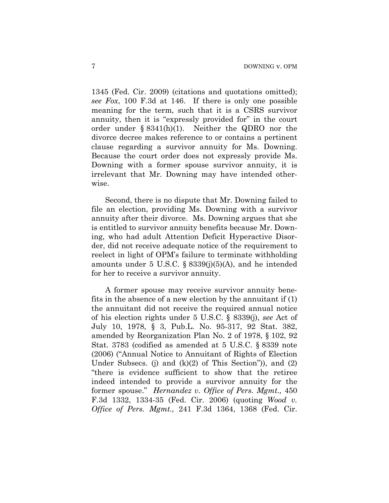1345 (Fed. Cir. 2009) (citations and quotations omitted); *see Fox*, 100 F.3d at 146. If there is only one possible meaning for the term, such that it is a CSRS survivor annuity, then it is "expressly provided for" in the court order under § 8341(h)(1). Neither the QDRO nor the divorce decree makes reference to or contains a pertinent clause regarding a survivor annuity for Ms. Downing. Because the court order does not expressly provide Ms. Downing with a former spouse survivor annuity, it is irrelevant that Mr. Downing may have intended otherwise.

Second, there is no dispute that Mr. Downing failed to file an election, providing Ms. Downing with a survivor annuity after their divorce. Ms. Downing argues that she is entitled to survivor annuity benefits because Mr. Downing, who had adult Attention Deficit Hyperactive Disorder, did not receive adequate notice of the requirement to reelect in light of OPM's failure to terminate withholding amounts under 5 U.S.C.  $\S$  8339(j)(5)(A), and he intended for her to receive a survivor annuity.

A former spouse may receive survivor annuity benefits in the absence of a new election by the annuitant if (1) the annuitant did not receive the required annual notice of his election rights under 5 U.S.C. § 8339(j), *see* Act of July 10, 1978, § 3, Pub.L. No. 95-317, 92 Stat. 382, amended by Reorganization Plan No. 2 of 1978, § 102, 92 Stat. 3783 (codified as amended at 5 U.S.C. § 8339 note (2006) ("Annual Notice to Annuitant of Rights of Election Under Subsecs. (j) and  $(k)(2)$  of This Section"), and  $(2)$ "there is evidence sufficient to show that the retiree indeed intended to provide a survivor annuity for the former spouse." *Hernandez v. Office of Pers. Mgmt.,* 450 F.3d 1332, 1334-35 (Fed. Cir. 2006) (quoting *Wood v. Office of Pers. Mgmt.,* 241 F.3d 1364, 1368 (Fed. Cir.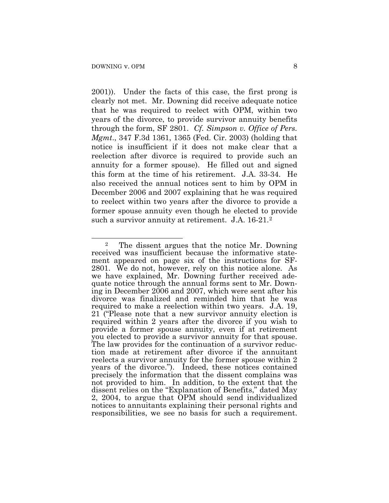$\overline{a}$ 

2001)). Under the facts of this case, the first prong is clearly not met. Mr. Downing did receive adequate notice that he was required to reelect with OPM, within two years of the divorce, to provide survivor annuity benefits through the form, SF 2801. *Cf. Simpson v. Office of Pers. Mgmt*., 347 F.3d 1361, 1365 (Fed. Cir. 2003) (holding that notice is insufficient if it does not make clear that a reelection after divorce is required to provide such an annuity for a former spouse). He filled out and signed this form at the time of his retirement. J.A. 33-34. He also received the annual notices sent to him by OPM in December 2006 and 2007 explaining that he was required to reelect within two years after the divorce to provide a former spouse annuity even though he elected to provide such a survivor annuity at retirement. J.A. 16-[2](#page-7-0)1.<sup>2</sup>

<span id="page-7-0"></span><sup>2</sup> The dissent argues that the notice Mr. Downing received was insufficient because the informative statement appeared on page six of the instructions for SF-2801. We do not, however, rely on this notice alone. As we have explained, Mr. Downing further received adequate notice through the annual forms sent to Mr. Downing in December 2006 and 2007, which were sent after his divorce was finalized and reminded him that he was required to make a reelection within two years. J.A. 19, 21 ("Please note that a new survivor annuity election is required within 2 years after the divorce if you wish to provide a former spouse annuity, even if at retirement you elected to provide a survivor annuity for that spouse. The law provides for the continuation of a survivor reduction made at retirement after divorce if the annuitant reelects a survivor annuity for the former spouse within 2 years of the divorce."). Indeed, these notices contained precisely the information that the dissent complains was not provided to him. In addition, to the extent that the dissent relies on the "Explanation of Benefits," dated May 2, 2004, to argue that OPM should send individualized notices to annuitants explaining their personal rights and responsibilities, we see no basis for such a requirement.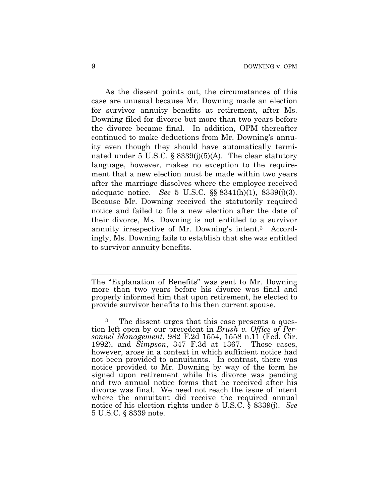As the dissent points out, the circumstances of this case are unusual because Mr. Downing made an election for survivor annuity benefits at retirement, after Ms. Downing filed for divorce but more than two years before the divorce became final. In addition, OPM thereafter continued to make deductions from Mr. Downing's annuity even though they should have automatically terminated under 5 U.S.C.  $\S$  8339(j)(5)(A). The clear statutory language, however, makes no exception to the requirement that a new election must be made within two years after the marriage dissolves where the employee received adequate notice. *See* 5 U.S.C. §§ 8341(h)(1), 8339(j)(3). Because Mr. Downing received the statutorily required notice and failed to file a new election after the date of their divorce, Ms. Downing is not entitled to a survivor annuity irrespective of Mr. Downing's intent.[3](#page-8-0) Accordingly, Ms. Downing fails to establish that she was entitled to survivor annuity benefits.

 $\overline{a}$ 

The "Explanation of Benefits" was sent to Mr. Downing more than two years before his divorce was final and properly informed him that upon retirement, he elected to provide survivor benefits to his then current spouse.

<span id="page-8-0"></span>The dissent urges that this case presents a question left open by our precedent in *Brush v. Office of Personnel Management*, 982 F.2d 1554, 1558 n.11 (Fed. Cir. 1992), and *Simpson*, 347 F.3d at 1367. Those cases, however, arose in a context in which sufficient notice had not been provided to annuitants. In contrast, there was notice provided to Mr. Downing by way of the form he signed upon retirement while his divorce was pending and two annual notice forms that he received after his divorce was final. We need not reach the issue of intent where the annuitant did receive the required annual notice of his election rights under 5 U.S.C. § 8339(j). *See* 5 U.S.C. § 8339 note.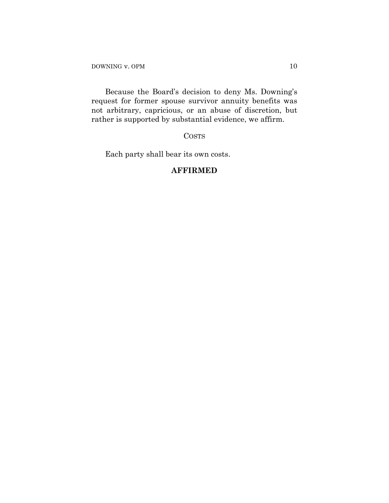Because the Board's decision to deny Ms. Downing's request for former spouse survivor annuity benefits was not arbitrary, capricious, or an abuse of discretion, but rather is supported by substantial evidence, we affirm.

COSTS

Each party shall bear its own costs.

## **AFFIRMED**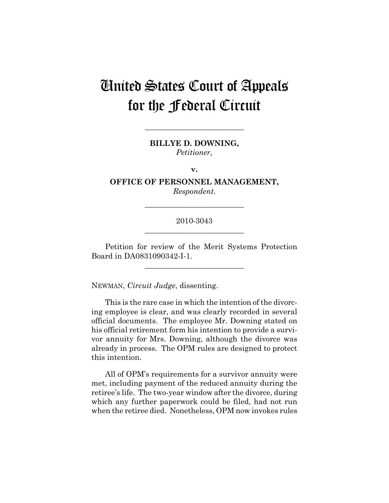# United States Court of Appeals for the Federal Circuit

**BILLYE D. DOWNING,**  *Petitioner,* 

**\_\_\_\_\_\_\_\_\_\_\_\_\_\_\_\_\_\_\_\_\_\_\_\_\_\_** 

**v.** 

**OFFICE OF PERSONNEL MANAGEMENT,**  *Respondent.* 

**\_\_\_\_\_\_\_\_\_\_\_\_\_\_\_\_\_\_\_\_\_\_\_\_\_\_** 

## 2010-3043 **\_\_\_\_\_\_\_\_\_\_\_\_\_\_\_\_\_\_\_\_\_\_\_\_\_\_**

Petition for review of the Merit Systems Protection Board in DA0831090342-I-1.

**\_\_\_\_\_\_\_\_\_\_\_\_\_\_\_\_\_\_\_\_\_\_\_\_\_\_** 

NEWMAN, *Circuit Judge*, dissenting.

This is the rare case in which the intention of the divorcing employee is clear, and was clearly recorded in several official documents. The employee Mr. Downing stated on his official retirement form his intention to provide a survivor annuity for Mrs. Downing, although the divorce was already in process. The OPM rules are designed to protect this intention.

All of OPM's requirements for a survivor annuity were met, including payment of the reduced annuity during the retiree's life. The two-year window after the divorce, during which any further paperwork could be filed, had not run when the retiree died. Nonetheless, OPM now invokes rules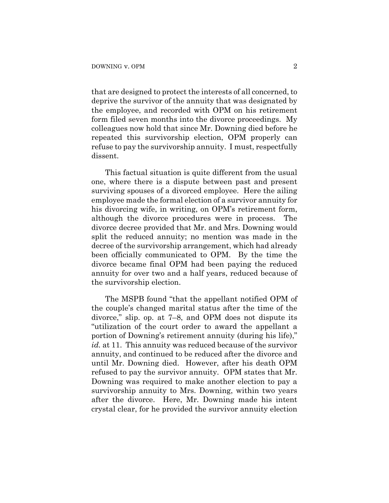that are designed to protect the interests of all concerned, to deprive the survivor of the annuity that was designated by the employee, and recorded with OPM on his retirement form filed seven months into the divorce proceedings. My colleagues now hold that since Mr. Downing died before he repeated this survivorship election, OPM properly can refuse to pay the survivorship annuity. I must, respectfully dissent.

This factual situation is quite different from the usual one, where there is a dispute between past and present surviving spouses of a divorced employee. Here the ailing employee made the formal election of a survivor annuity for his divorcing wife, in writing, on OPM's retirement form, although the divorce procedures were in process. The divorce decree provided that Mr. and Mrs. Downing would split the reduced annuity; no mention was made in the decree of the survivorship arrangement, which had already been officially communicated to OPM. By the time the divorce became final OPM had been paying the reduced annuity for over two and a half years, reduced because of the survivorship election.

The MSPB found "that the appellant notified OPM of the couple's changed marital status after the time of the divorce," slip. op. at 7–8, and OPM does not dispute its "utilization of the court order to award the appellant a portion of Downing's retirement annuity (during his life)," *id.* at 11. This annuity was reduced because of the survivor annuity, and continued to be reduced after the divorce and until Mr. Downing died. However, after his death OPM refused to pay the survivor annuity. OPM states that Mr. Downing was required to make another election to pay a survivorship annuity to Mrs. Downing, within two years after the divorce. Here, Mr. Downing made his intent crystal clear, for he provided the survivor annuity election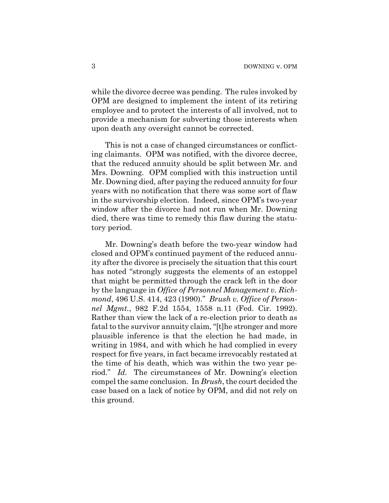while the divorce decree was pending. The rules invoked by OPM are designed to implement the intent of its retiring employee and to protect the interests of all involved, not to provide a mechanism for subverting those interests when upon death any oversight cannot be corrected.

This is not a case of changed circumstances or conflicting claimants. OPM was notified, with the divorce decree, that the reduced annuity should be split between Mr. and Mrs. Downing. OPM complied with this instruction until Mr. Downing died, after paying the reduced annuity for four years with no notification that there was some sort of flaw in the survivorship election. Indeed, since OPM's two-year window after the divorce had not run when Mr. Downing died, there was time to remedy this flaw during the statutory period.

Mr. Downing's death before the two-year window had closed and OPM's continued payment of the reduced annuity after the divorce is precisely the situation that this court has noted "strongly suggests the elements of an estoppel that might be permitted through the crack left in the door by the language in *Office of Personnel Management v. Richmond*, 496 U.S. 414, 423 (1990)." *Brush v. Office of Personnel Mgmt.*, 982 F.2d 1554, 1558 n.11 (Fed. Cir. 1992). Rather than view the lack of a re-election prior to death as fatal to the survivor annuity claim, "[t]he stronger and more plausible inference is that the election he had made, in writing in 1984, and with which he had complied in every respect for five years, in fact became irrevocably restated at the time of his death, which was within the two year period." *Id.* The circumstances of Mr. Downing's election compel the same conclusion. In *Brush*, the court decided the case based on a lack of notice by OPM, and did not rely on this ground.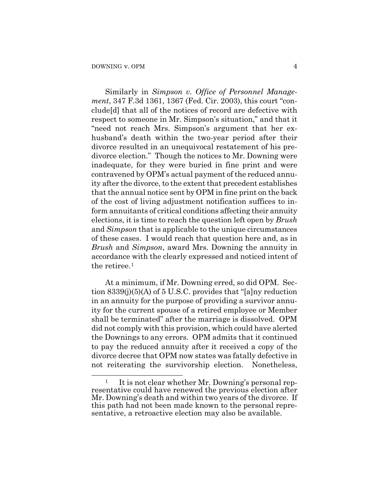$\overline{a}$ 

Similarly in *Simpson v. Office of Personnel Management*, 347 F.3d 1361, 1367 (Fed. Cir. 2003), this court "conclude[d] that all of the notices of record are defective with respect to someone in Mr. Simpson's situation," and that it "need not reach Mrs. Simpson's argument that her exhusband's death within the two-year period after their divorce resulted in an unequivocal restatement of his predivorce election." Though the notices to Mr. Downing were inadequate, for they were buried in fine print and were contravened by OPM's actual payment of the reduced annuity after the divorce, to the extent that precedent establishes that the annual notice sent by OPM in fine print on the back of the cost of living adjustment notification suffices to inform annuitants of critical conditions affecting their annuity elections, it is time to reach the question left open by *Brush* and *Simpson* that is applicable to the unique circumstances of these cases. I would reach that question here and, as in *Brush* and *Simpson*, award Mrs. Downing the annuity in accordance with the clearly expressed and noticed intent of the retiree.<sup>[1](#page-13-0)</sup>

At a minimum, if Mr. Downing erred, so did OPM. Section 8339(j)(5)(A) of 5 U.S.C. provides that "[a]ny reduction in an annuity for the purpose of providing a survivor annuity for the current spouse of a retired employee or Member shall be terminated" after the marriage is dissolved. OPM did not comply with this provision, which could have alerted the Downings to any errors. OPM admits that it continued to pay the reduced annuity after it received a copy of the divorce decree that OPM now states was fatally defective in not reiterating the survivorship election. Nonetheless,

<span id="page-13-0"></span><sup>&</sup>lt;sup>1</sup> It is not clear whether Mr. Downing's personal representative could have renewed the previous election after Mr. Downing's death and within two years of the divorce. If this path had not been made known to the personal representative, a retroactive election may also be available.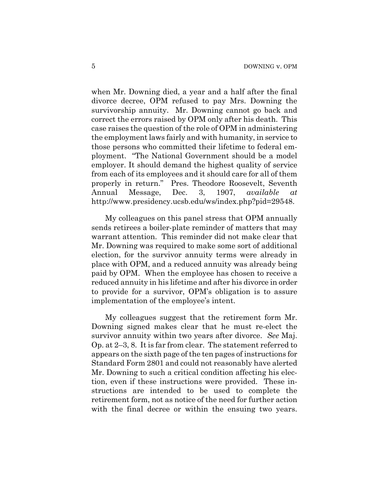when Mr. Downing died, a year and a half after the final divorce decree, OPM refused to pay Mrs. Downing the survivorship annuity. Mr. Downing cannot go back and correct the errors raised by OPM only after his death. This case raises the question of the role of OPM in administering the employment laws fairly and with humanity, in service to those persons who committed their lifetime to federal employment. "The National Government should be a model employer. It should demand the highest quality of service from each of its employees and it should care for all of them properly in return." Pres. Theodore Roosevelt, Seventh Annual Message, Dec. 3, 1907, *available at* http://www.presidency.ucsb.edu/ws/index.php?pid=29548.

My colleagues on this panel stress that OPM annually sends retirees a boiler-plate reminder of matters that may warrant attention. This reminder did not make clear that Mr. Downing was required to make some sort of additional election, for the survivor annuity terms were already in place with OPM, and a reduced annuity was already being paid by OPM. When the employee has chosen to receive a reduced annuity in his lifetime and after his divorce in order to provide for a survivor, OPM's obligation is to assure implementation of the employee's intent.

My colleagues suggest that the retirement form Mr. Downing signed makes clear that he must re-elect the survivor annuity within two years after divorce. *See* Maj. Op. at 2–3, 8. It is far from clear. The statement referred to appears on the sixth page of the ten pages of instructions for Standard Form 2801 and could not reasonably have alerted Mr. Downing to such a critical condition affecting his election, even if these instructions were provided. These instructions are intended to be used to complete the retirement form, not as notice of the need for further action with the final decree or within the ensuing two years.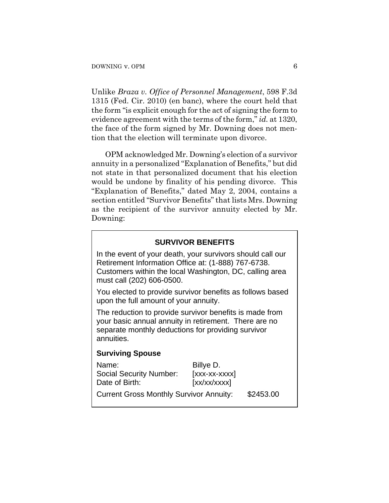Unlike *Braza v. Office of Personnel Management*, 598 F.3d 1315 (Fed. Cir. 2010) (en banc), where the court held that the form "is explicit enough for the act of signing the form to evidence agreement with the terms of the form," *id.* at 1320, the face of the form signed by Mr. Downing does not mention that the election will terminate upon divorce.

OPM acknowledged Mr. Downing's election of a survivor annuity in a personalized "Explanation of Benefits," but did not state in that personalized document that his election would be undone by finality of his pending divorce. This "Explanation of Benefits," dated May 2, 2004, contains a section entitled "Survivor Benefits" that lists Mrs. Downing as the recipient of the survivor annuity elected by Mr. Downing:

## **SURVIVOR BENEFITS**

In the event of your death, your survivors should call our Retirement Information Office at: (1-888) 767-6738. Customers within the local Washington, DC, calling area must call (202) 606-0500.

You elected to provide survivor benefits as follows based upon the full amount of your annuity.

The reduction to provide survivor benefits is made from your basic annual annuity in retirement. There are no separate monthly deductions for providing survivor annuities.

### **Surviving Spouse**

| Name:                                          | Billye D.      |           |
|------------------------------------------------|----------------|-----------|
| <b>Social Security Number:</b>                 | $[xxxx-xxxxx]$ |           |
| Date of Birth:                                 | [xx/xx/xxxx]   |           |
| <b>Current Gross Monthly Survivor Annuity:</b> |                | \$2453.00 |